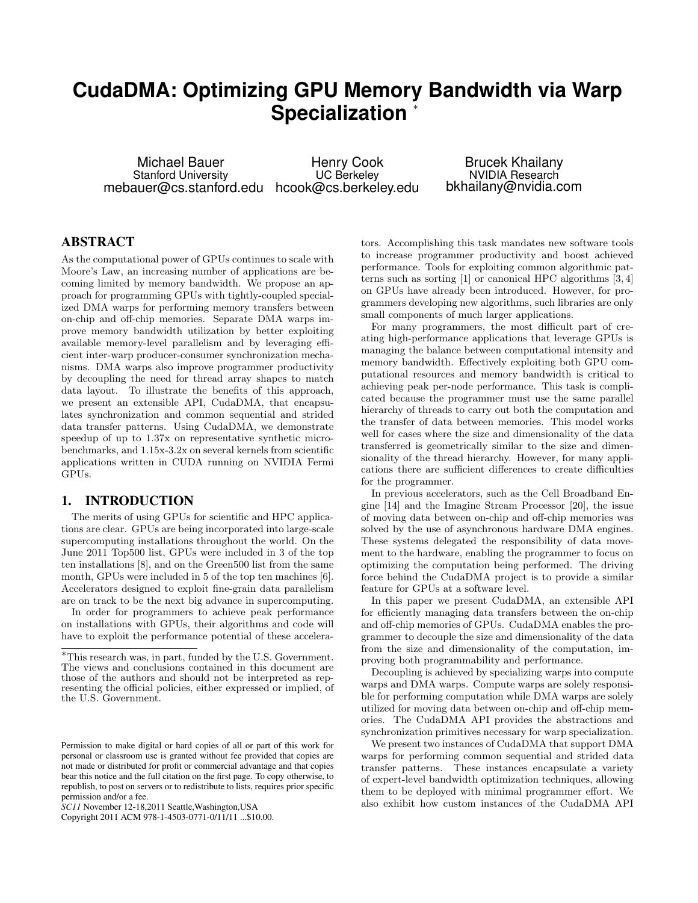# **CudaDMA: Optimizing GPU Memory Bandwidth via Warp Specialization**

Michael Bauer Stanford University mebauer@cs.stanford.edu hcook@cs.berkeley.edu

Henry Cook UC Berkeley

Brucek Khailany NVIDIA Research bkhailany@nvidia.com

# ABSTRACT

As the computational power of GPUs continues to scale with Moore's Law, an increasing number of applications are becoming limited by memory bandwidth. We propose an approach for programming GPUs with tightly-coupled specialized DMA warps for performing memory transfers between on-chip and off-chip memories. Separate DMA warps improve memory bandwidth utilization by better exploiting available memory-level parallelism and by leveraging efficient inter-warp producer-consumer synchronization mechanisms. DMA warps also improve programmer productivity by decoupling the need for thread array shapes to match data layout. To illustrate the benefits of this approach, we present an extensible API, CudaDMA, that encapsulates synchronization and common sequential and strided data transfer patterns. Using CudaDMA, we demonstrate speedup of up to 1.37x on representative synthetic microbenchmarks, and 1.15x-3.2x on several kernels from scientific applications written in CUDA running on NVIDIA Fermi GPUs.

# 1. INTRODUCTION

The merits of using GPUs for scientific and HPC applications are clear. GPUs are being incorporated into large-scale supercomputing installations throughout the world. On the June 2011 Top500 list, GPUs were included in 3 of the top ten installations [8], and on the Green500 list from the same month, GPUs were included in 5 of the top ten machines [6]. Accelerators designed to exploit fine-grain data parallelism are on track to be the next big advance in supercomputing.

In order for programmers to achieve peak performance on installations with GPUs, their algorithms and code will have to exploit the performance potential of these accelerators. Accomplishing this task mandates new software tools to increase programmer productivity and boost achieved performance. Tools for exploiting common algorithmic patterns such as sorting [1] or canonical HPC algorithms [3, 4] on GPUs have already been introduced. However, for programmers developing new algorithms, such libraries are only small components of much larger applications.

For many programmers, the most difficult part of creating high-performance applications that leverage GPUs is managing the balance between computational intensity and memory bandwidth. Effectively exploiting both GPU computational resources and memory bandwidth is critical to achieving peak per-node performance. This task is complicated because the programmer must use the same parallel hierarchy of threads to carry out both the computation and the transfer of data between memories. This model works well for cases where the size and dimensionality of the data transferred is geometrically similar to the size and dimensionality of the thread hierarchy. However, for many applications there are sufficient differences to create difficulties for the programmer.

In previous accelerators, such as the Cell Broadband Engine [14] and the Imagine Stream Processor [20], the issue of moving data between on-chip and off-chip memories was solved by the use of asynchronous hardware DMA engines. These systems delegated the responsibility of data movement to the hardware, enabling the programmer to focus on optimizing the computation being performed. The driving force behind the CudaDMA project is to provide a similar feature for GPUs at a software level.

In this paper we present CudaDMA, an extensible API for efficiently managing data transfers between the on-chip and off-chip memories of GPUs. CudaDMA enables the programmer to decouple the size and dimensionality of the data from the size and dimensionality of the computation, improving both programmability and performance.

Decoupling is achieved by specializing warps into compute warps and DMA warps. Compute warps are solely responsible for performing computation while DMA warps are solely utilized for moving data between on-chip and off-chip memories. The CudaDMA API provides the abstractions and synchronization primitives necessary for warp specialization.

We present two instances of CudaDMA that support DMA warps for performing common sequential and strided data transfer patterns. These instances encapsulate a variety of expert-level bandwidth optimization techniques, allowing them to be deployed with minimal programmer effort. We also exhibit how custom instances of the CudaDMA API

<sup>∗</sup>This research was, in part, funded by the U.S. Government. The views and conclusions contained in this document are those of the authors and should not be interpreted as representing the official policies, either expressed or implied, of the U.S. Government.

Permission to make digital or hard copies of all or part of this work for personal or classroom use is granted without fee provided that copies are not made or distributed for profit or commercial advantage and that copies bear this notice and the full citation on the first page. To copy otherwise, to republish, to post on servers or to redistribute to lists, requires prior specific permission and/or a fee.

*SC11* November 12-18,2011 Seattle,Washington,USA

Copyright 2011 ACM 978-1-4503-0771-0/11/11 ...\$10.00.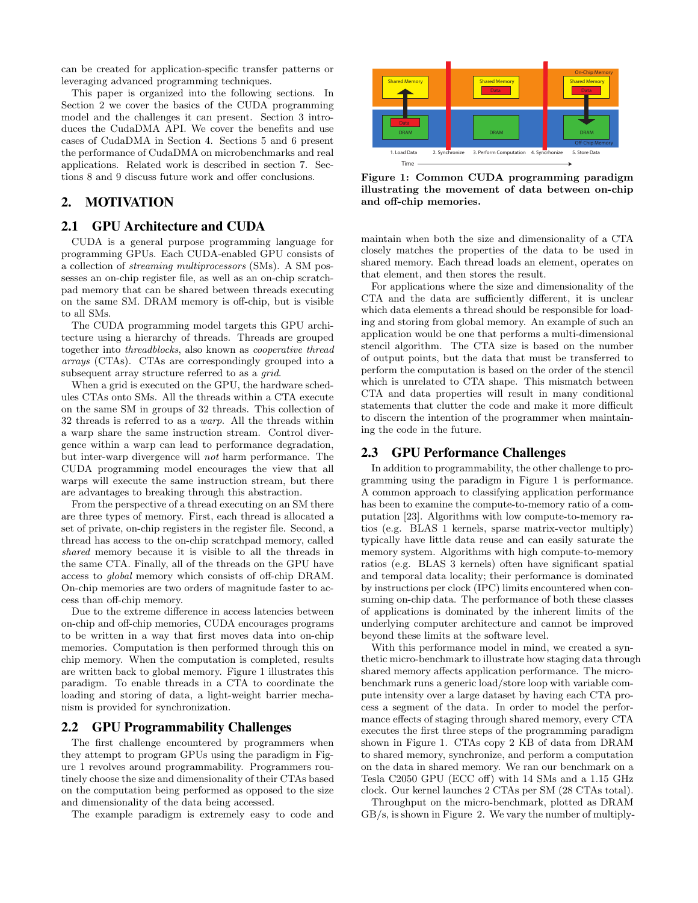can be created for application-specific transfer patterns or leveraging advanced programming techniques.

This paper is organized into the following sections. In Section 2 we cover the basics of the CUDA programming model and the challenges it can present. Section 3 introduces the CudaDMA API. We cover the benefits and use cases of CudaDMA in Section 4. Sections 5 and 6 present the performance of CudaDMA on microbenchmarks and real applications. Related work is described in section 7. Sections 8 and 9 discuss future work and offer conclusions.

# 2. MOTIVATION

# 2.1 GPU Architecture and CUDA

CUDA is a general purpose programming language for programming GPUs. Each CUDA-enabled GPU consists of a collection of streaming multiprocessors (SMs). A SM possesses an on-chip register file, as well as an on-chip scratchpad memory that can be shared between threads executing on the same SM. DRAM memory is off-chip, but is visible to all SMs.

The CUDA programming model targets this GPU architecture using a hierarchy of threads. Threads are grouped together into threadblocks, also known as cooperative thread arrays (CTAs). CTAs are correspondingly grouped into a subsequent array structure referred to as a *grid*.

When a grid is executed on the GPU, the hardware schedules CTAs onto SMs. All the threads within a CTA execute on the same SM in groups of 32 threads. This collection of 32 threads is referred to as a warp. All the threads within a warp share the same instruction stream. Control divergence within a warp can lead to performance degradation, but inter-warp divergence will not harm performance. The CUDA programming model encourages the view that all warps will execute the same instruction stream, but there are advantages to breaking through this abstraction.

From the perspective of a thread executing on an SM there are three types of memory. First, each thread is allocated a set of private, on-chip registers in the register file. Second, a thread has access to the on-chip scratchpad memory, called shared memory because it is visible to all the threads in the same CTA. Finally, all of the threads on the GPU have access to global memory which consists of off-chip DRAM. On-chip memories are two orders of magnitude faster to access than off-chip memory.

Due to the extreme difference in access latencies between on-chip and off-chip memories, CUDA encourages programs to be written in a way that first moves data into on-chip memories. Computation is then performed through this on chip memory. When the computation is completed, results are written back to global memory. Figure 1 illustrates this paradigm. To enable threads in a CTA to coordinate the loading and storing of data, a light-weight barrier mechanism is provided for synchronization.

### 2.2 GPU Programmability Challenges

The first challenge encountered by programmers when they attempt to program GPUs using the paradigm in Figure 1 revolves around programmability. Programmers routinely choose the size and dimensionality of their CTAs based on the computation being performed as opposed to the size and dimensionality of the data being accessed.

The example paradigm is extremely easy to code and



Figure 1: Common CUDA programming paradigm illustrating the movement of data between on-chip and off-chip memories.

maintain when both the size and dimensionality of a CTA closely matches the properties of the data to be used in shared memory. Each thread loads an element, operates on that element, and then stores the result.

For applications where the size and dimensionality of the CTA and the data are sufficiently different, it is unclear which data elements a thread should be responsible for loading and storing from global memory. An example of such an application would be one that performs a multi-dimensional stencil algorithm. The CTA size is based on the number of output points, but the data that must be transferred to perform the computation is based on the order of the stencil which is unrelated to CTA shape. This mismatch between CTA and data properties will result in many conditional statements that clutter the code and make it more difficult to discern the intention of the programmer when maintaining the code in the future.

#### 2.3 GPU Performance Challenges

In addition to programmability, the other challenge to programming using the paradigm in Figure 1 is performance. A common approach to classifying application performance has been to examine the compute-to-memory ratio of a computation [23]. Algorithms with low compute-to-memory ratios (e.g. BLAS 1 kernels, sparse matrix-vector multiply) typically have little data reuse and can easily saturate the memory system. Algorithms with high compute-to-memory ratios (e.g. BLAS 3 kernels) often have significant spatial and temporal data locality; their performance is dominated by instructions per clock (IPC) limits encountered when consuming on-chip data. The performance of both these classes of applications is dominated by the inherent limits of the underlying computer architecture and cannot be improved beyond these limits at the software level.

With this performance model in mind, we created a synthetic micro-benchmark to illustrate how staging data through shared memory affects application performance. The microbenchmark runs a generic load/store loop with variable compute intensity over a large dataset by having each CTA process a segment of the data. In order to model the performance effects of staging through shared memory, every CTA executes the first three steps of the programming paradigm shown in Figure 1. CTAs copy 2 KB of data from DRAM to shared memory, synchronize, and perform a computation on the data in shared memory. We ran our benchmark on a Tesla C2050 GPU (ECC off) with 14 SMs and a 1.15 GHz clock. Our kernel launches 2 CTAs per SM (28 CTAs total).

Throughput on the micro-benchmark, plotted as DRAM GB/s, is shown in Figure 2. We vary the number of multiply-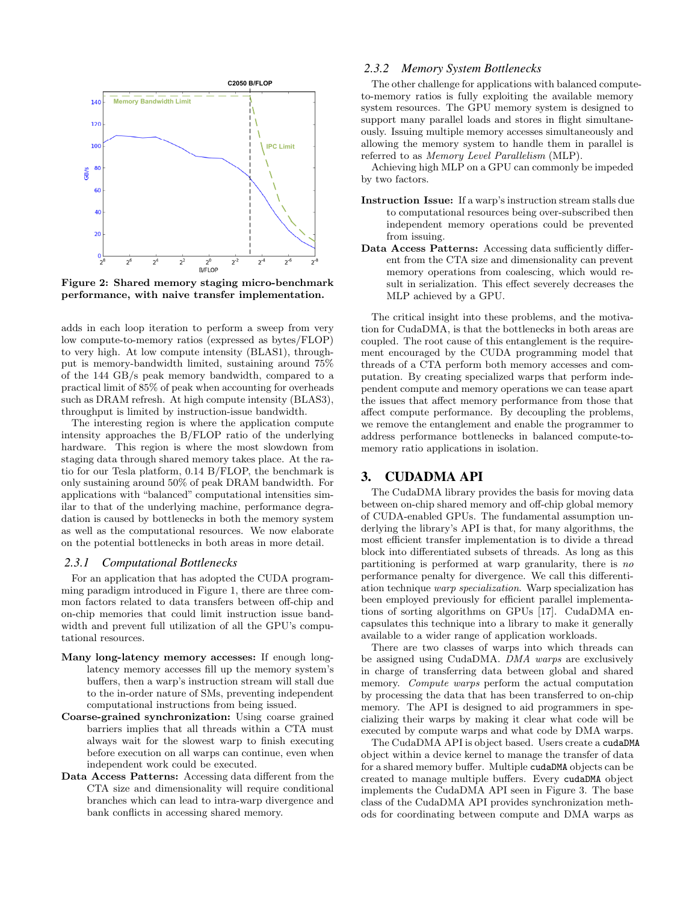

Figure 2: Shared memory staging micro-benchmark performance, with naive transfer implementation.

adds in each loop iteration to perform a sweep from very low compute-to-memory ratios (expressed as bytes/FLOP) to very high. At low compute intensity (BLAS1), throughput is memory-bandwidth limited, sustaining around 75% of the 144 GB/s peak memory bandwidth, compared to a practical limit of 85% of peak when accounting for overheads such as DRAM refresh. At high compute intensity (BLAS3), throughput is limited by instruction-issue bandwidth.

The interesting region is where the application compute intensity approaches the B/FLOP ratio of the underlying hardware. This region is where the most slowdown from staging data through shared memory takes place. At the ratio for our Tesla platform, 0.14 B/FLOP, the benchmark is only sustaining around 50% of peak DRAM bandwidth. For applications with "balanced" computational intensities similar to that of the underlying machine, performance degradation is caused by bottlenecks in both the memory system as well as the computational resources. We now elaborate on the potential bottlenecks in both areas in more detail.

#### *2.3.1 Computational Bottlenecks*

For an application that has adopted the CUDA programming paradigm introduced in Figure 1, there are three common factors related to data transfers between off-chip and on-chip memories that could limit instruction issue bandwidth and prevent full utilization of all the GPU's computational resources.

- Many long-latency memory accesses: If enough longlatency memory accesses fill up the memory system's buffers, then a warp's instruction stream will stall due to the in-order nature of SMs, preventing independent computational instructions from being issued.
- Coarse-grained synchronization: Using coarse grained barriers implies that all threads within a CTA must always wait for the slowest warp to finish executing before execution on all warps can continue, even when independent work could be executed.
- Data Access Patterns: Accessing data different from the CTA size and dimensionality will require conditional branches which can lead to intra-warp divergence and bank conflicts in accessing shared memory.

#### *2.3.2 Memory System Bottlenecks*

The other challenge for applications with balanced computeto-memory ratios is fully exploiting the available memory system resources. The GPU memory system is designed to support many parallel loads and stores in flight simultaneously. Issuing multiple memory accesses simultaneously and allowing the memory system to handle them in parallel is referred to as Memory Level Parallelism (MLP).

Achieving high MLP on a GPU can commonly be impeded by two factors.

- Instruction Issue: If a warp's instruction stream stalls due to computational resources being over-subscribed then independent memory operations could be prevented from issuing.
- Data Access Patterns: Accessing data sufficiently different from the CTA size and dimensionality can prevent memory operations from coalescing, which would result in serialization. This effect severely decreases the MLP achieved by a GPU.

The critical insight into these problems, and the motivation for CudaDMA, is that the bottlenecks in both areas are coupled. The root cause of this entanglement is the requirement encouraged by the CUDA programming model that threads of a CTA perform both memory accesses and computation. By creating specialized warps that perform independent compute and memory operations we can tease apart the issues that affect memory performance from those that affect compute performance. By decoupling the problems, we remove the entanglement and enable the programmer to address performance bottlenecks in balanced compute-tomemory ratio applications in isolation.

# 3. CUDADMA API

The CudaDMA library provides the basis for moving data between on-chip shared memory and off-chip global memory of CUDA-enabled GPUs. The fundamental assumption underlying the library's API is that, for many algorithms, the most efficient transfer implementation is to divide a thread block into differentiated subsets of threads. As long as this partitioning is performed at warp granularity, there is no performance penalty for divergence. We call this differentiation technique warp specialization. Warp specialization has been employed previously for efficient parallel implementations of sorting algorithms on GPUs [17]. CudaDMA encapsulates this technique into a library to make it generally available to a wider range of application workloads.

There are two classes of warps into which threads can be assigned using CudaDMA. DMA warps are exclusively in charge of transferring data between global and shared memory. Compute warps perform the actual computation by processing the data that has been transferred to on-chip memory. The API is designed to aid programmers in specializing their warps by making it clear what code will be executed by compute warps and what code by DMA warps.

The CudaDMA API is object based. Users create a cudaDMA object within a device kernel to manage the transfer of data for a shared memory buffer. Multiple cudaDMA objects can be created to manage multiple buffers. Every cudaDMA object implements the CudaDMA API seen in Figure 3. The base class of the CudaDMA API provides synchronization methods for coordinating between compute and DMA warps as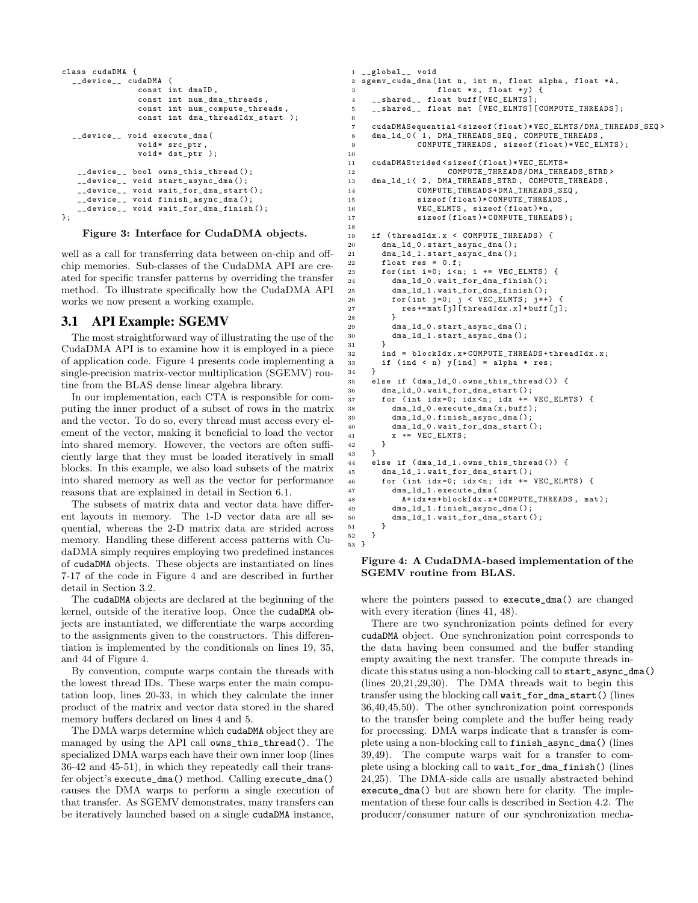```
class cudaDMA {
  __device__ cudaDMA (
               const int dmaID ,
               const int num_dma_threads ,
               const int num_compute_threads ,
               const int dma_threadIdx_start );
  __device__ void execute_dma (
               void* src_ptr,
               void* dst_ptr );
   __device__ bool owns_this_thread ();
   __device__ void start_async_dma ();
   __device__ void wait_for_dma_start ();
   __device__ void finish_async_dma ();
   __device__ void wait_for_dma_finish ();
};
```
#### Figure 3: Interface for CudaDMA objects.

well as a call for transferring data between on-chip and offchip memories. Sub-classes of the CudaDMA API are created for specific transfer patterns by overriding the transfer method. To illustrate specifically how the CudaDMA API works we now present a working example.

### 3.1 API Example: SGEMV

The most straightforward way of illustrating the use of the CudaDMA API is to examine how it is employed in a piece of application code. Figure 4 presents code implementing a single-precision matrix-vector multiplication (SGEMV) routine from the BLAS dense linear algebra library.

In our implementation, each CTA is responsible for computing the inner product of a subset of rows in the matrix and the vector. To do so, every thread must access every element of the vector, making it beneficial to load the vector into shared memory. However, the vectors are often sufficiently large that they must be loaded iteratively in small blocks. In this example, we also load subsets of the matrix into shared memory as well as the vector for performance reasons that are explained in detail in Section 6.1.

The subsets of matrix data and vector data have different layouts in memory. The 1-D vector data are all sequential, whereas the 2-D matrix data are strided across memory. Handling these different access patterns with CudaDMA simply requires employing two predefined instances of cudaDMA objects. These objects are instantiated on lines 7-17 of the code in Figure 4 and are described in further detail in Section 3.2.

The cudaDMA objects are declared at the beginning of the kernel, outside of the iterative loop. Once the cudaDMA objects are instantiated, we differentiate the warps according to the assignments given to the constructors. This differentiation is implemented by the conditionals on lines 19, 35, and 44 of Figure 4.

By convention, compute warps contain the threads with the lowest thread IDs. These warps enter the main computation loop, lines 20-33, in which they calculate the inner product of the matrix and vector data stored in the shared memory buffers declared on lines 4 and 5.

The DMA warps determine which cudaDMA object they are managed by using the API call owns\_this\_thread(). The specialized DMA warps each have their own inner loop (lines 36-42 and 45-51), in which they repeatedly call their transfer object's execute\_dma() method. Calling execute\_dma() causes the DMA warps to perform a single execution of that transfer. As SGEMV demonstrates, many transfers can be iteratively launched based on a single cudaDMA instance,

```
1 __global__ void
2 sgemv_cuda_dma (int n, int m, float alpha, float *A,
                     float *x, float *y) {
      __shared__ float buff [VEC_ELMTS];
5 __shared__ float mat [ VEC_ELMTS ][ COMPUTE_THREADS ];
6
7 cudaDMASequential < sizeof ( float )* VEC_ELMTS / DMA_THREADS_SEQ >
8 dma_ld_0 ( 1, DMA_THREADS_SEQ , COMPUTE_THREADS ,
                COMPUTE_THREADS, sizeof (float)*VEC_ELMTS);
\begin{array}{c} 10 \\ 11 \end{array}cudaDMAStrided < sizeof (float) * VEC_ELMTS *
12 COMPUTE_THREADS / DMA_THREADS_STRD >
13 dma_1d_1 ( 2, DMA_THREADS_STRD, COMPUTE_THREADS,
14 COMPUTE_THREADS + DMA_THREADS_SEQ,
15 sizeof (float)*COMPUTE_THREADS,
16 VEC_ELMTS , sizeof ( float )* n ,
                sizeof (float)* COMPUTE_THREADS);
18
19 if ( threadIdx .x < COMPUTE_THREADS ) {
20 dma_ld_0 . start_async_dma ();
21 dma_ld_1 . start_async_dma ();
22 float res = 0.f:
23 for (int i=0; i < n; i += VEC ELMTS) {
24 dma_ld_0 . wait_for_dma_finish ();
25 dma_ld_1 . wait_for_dma_finish ();
26 for(int j=0; j < VEC_ELMTS; j++) {<br>27 res +=mat[j][threadIdx.x]*buff[j];
28 }
29 dma_ld_0.start_async_dma();<br>30 dma ld 1.start async dma():
       dma_ld_l. start_async_dma();
31 }
32 ind = blockIdx.x*COMPUTE_THREADS+threadIdx.x;<br>33 if (ind < n) v[ind] = alpha * res:
        if (ind < n) y[ind] = alpha * res;
\begin{array}{ccc} 34 & & \\ 35 & & \\ 35 & & \end{array}else if (dma_ld_0.owns_this_thread()) {
36 dma_ld_0 . wait_for_dma_start ();
37 for (int idx=0; idx <n; idx += VEC_ELMTS) {
38 dma_ld_0 . execute_dma (x , buff );
39 dma_ld_0 . finish_async_dma ();
40 dma_ld_0 . wait_for_dma_start ();
41 x += VEC_ELMTS;
\begin{matrix}42 & & \\ 43 & & \end{matrix}43 }
44 else if ( dma_ld_1 . owns_this_thread ()) {
45 dma_ld_1.wait_for_dma_start ();<br>46 for (int idx=0: idx <n: idx +=
        for (int idx=0; idx <n; idx += VEC\_ELMTS) {
47 dma_ld_1 . execute_dma (
48 A+idx *m+ blockIdx . x * COMPUTE_THREADS, mat );<br>49 dma_1d_1 . finish_async_dma ();
          dma_ld_1.finish_async_dma();
50 dma_ld_1. wait_for_dma_start();<br>51 }
51 }
52 }
53 }
```
#### Figure 4: A CudaDMA-based implementation of the SGEMV routine from BLAS.

where the pointers passed to execute\_dma() are changed with every iteration (lines 41, 48).

There are two synchronization points defined for every cudaDMA object. One synchronization point corresponds to the data having been consumed and the buffer standing empty awaiting the next transfer. The compute threads indicate this status using a non-blocking call to start\_async\_dma() (lines 20,21,29,30). The DMA threads wait to begin this transfer using the blocking call wait\_for\_dma\_start() (lines 36,40,45,50). The other synchronization point corresponds to the transfer being complete and the buffer being ready for processing. DMA warps indicate that a transfer is complete using a non-blocking call to finish\_async\_dma() (lines 39,49). The compute warps wait for a transfer to complete using a blocking call to wait\_for\_dma\_finish() (lines 24,25). The DMA-side calls are usually abstracted behind execute\_dma() but are shown here for clarity. The implementation of these four calls is described in Section 4.2. The producer/consumer nature of our synchronization mecha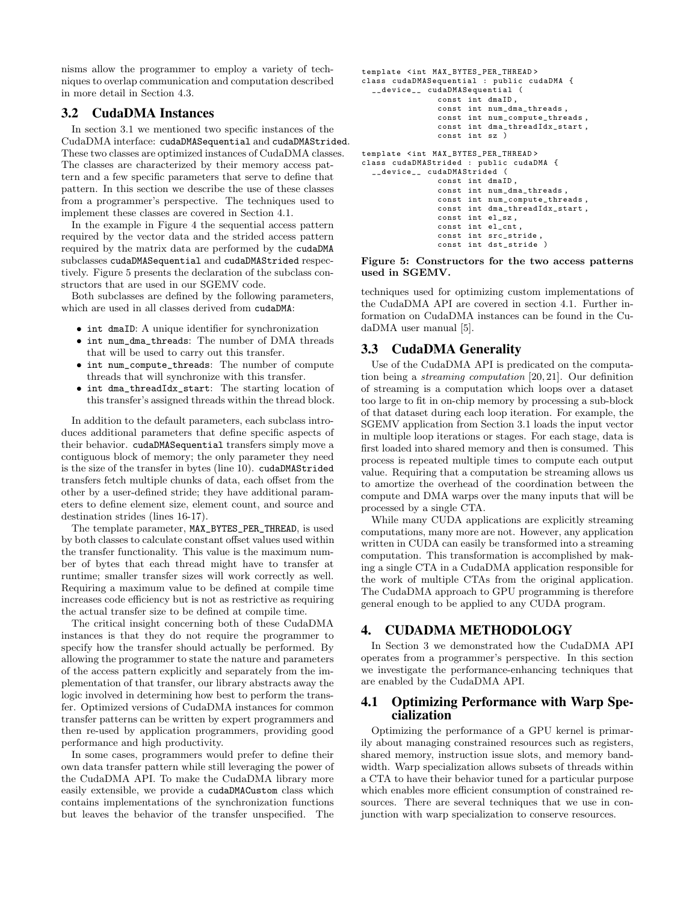nisms allow the programmer to employ a variety of techniques to overlap communication and computation described in more detail in Section 4.3.

# 3.2 CudaDMA Instances

In section 3.1 we mentioned two specific instances of the CudaDMA interface: cudaDMASequential and cudaDMAStrided. These two classes are optimized instances of CudaDMA classes. The classes are characterized by their memory access pattern and a few specific parameters that serve to define that pattern. In this section we describe the use of these classes from a programmer's perspective. The techniques used to implement these classes are covered in Section 4.1.

In the example in Figure 4 the sequential access pattern required by the vector data and the strided access pattern required by the matrix data are performed by the cudaDMA subclasses cudaDMASequential and cudaDMAStrided respectively. Figure 5 presents the declaration of the subclass constructors that are used in our SGEMV code.

Both subclasses are defined by the following parameters, which are used in all classes derived from cudaDMA:

- int dmaID: A unique identifier for synchronization
- int num\_dma\_threads: The number of DMA threads that will be used to carry out this transfer.
- int num\_compute\_threads: The number of compute threads that will synchronize with this transfer.
- int dma\_threadIdx\_start: The starting location of this transfer's assigned threads within the thread block.

In addition to the default parameters, each subclass introduces additional parameters that define specific aspects of their behavior. cudaDMASequential transfers simply move a contiguous block of memory; the only parameter they need is the size of the transfer in bytes (line 10). cudaDMAStrided transfers fetch multiple chunks of data, each offset from the other by a user-defined stride; they have additional parameters to define element size, element count, and source and destination strides (lines 16-17).

The template parameter, MAX\_BYTES\_PER\_THREAD, is used by both classes to calculate constant offset values used within the transfer functionality. This value is the maximum number of bytes that each thread might have to transfer at runtime; smaller transfer sizes will work correctly as well. Requiring a maximum value to be defined at compile time increases code efficiency but is not as restrictive as requiring the actual transfer size to be defined at compile time.

The critical insight concerning both of these CudaDMA instances is that they do not require the programmer to specify how the transfer should actually be performed. By allowing the programmer to state the nature and parameters of the access pattern explicitly and separately from the implementation of that transfer, our library abstracts away the logic involved in determining how best to perform the transfer. Optimized versions of CudaDMA instances for common transfer patterns can be written by expert programmers and then re-used by application programmers, providing good performance and high productivity.

In some cases, programmers would prefer to define their own data transfer pattern while still leveraging the power of the CudaDMA API. To make the CudaDMA library more easily extensible, we provide a cudaDMACustom class which contains implementations of the synchronization functions but leaves the behavior of the transfer unspecified. The

```
template < int MAX_BYTES_PER_THREAD >
class cudaDMASequential : public cudaDMA {
  __device__ cudaDMASequential (
               const int dmaID ,
                const int num_dma_threads ,
                const int num_compute_threads ,
                const int dma_threadIdx_start ,
                const int sz )
template < int MAX_BYTES_PER_THREAD >
class cudaDMAStrided : public cudaDMA {
  __device__ cudaDMAStrided (
                const int dmaID ,
               const int num_dma_threads ,
                const int num_compute_threads ,
                const int dma_threadIdx_start ,
                const int el_sz ,
                const int el_cnt ,
                const int src_stride ,
                const int dst_stride )
```
#### Figure 5: Constructors for the two access patterns used in SGEMV.

techniques used for optimizing custom implementations of the CudaDMA API are covered in section 4.1. Further information on CudaDMA instances can be found in the CudaDMA user manual [5].

# 3.3 CudaDMA Generality

Use of the CudaDMA API is predicated on the computation being a streaming computation [20, 21]. Our definition of streaming is a computation which loops over a dataset too large to fit in on-chip memory by processing a sub-block of that dataset during each loop iteration. For example, the SGEMV application from Section 3.1 loads the input vector in multiple loop iterations or stages. For each stage, data is first loaded into shared memory and then is consumed. This process is repeated multiple times to compute each output value. Requiring that a computation be streaming allows us to amortize the overhead of the coordination between the compute and DMA warps over the many inputs that will be processed by a single CTA.

While many CUDA applications are explicitly streaming computations, many more are not. However, any application written in CUDA can easily be transformed into a streaming computation. This transformation is accomplished by making a single CTA in a CudaDMA application responsible for the work of multiple CTAs from the original application. The CudaDMA approach to GPU programming is therefore general enough to be applied to any CUDA program.

# 4. CUDADMA METHODOLOGY

In Section 3 we demonstrated how the CudaDMA API operates from a programmer's perspective. In this section we investigate the performance-enhancing techniques that are enabled by the CudaDMA API.

# 4.1 Optimizing Performance with Warp Specialization

Optimizing the performance of a GPU kernel is primarily about managing constrained resources such as registers, shared memory, instruction issue slots, and memory bandwidth. Warp specialization allows subsets of threads within a CTA to have their behavior tuned for a particular purpose which enables more efficient consumption of constrained resources. There are several techniques that we use in conjunction with warp specialization to conserve resources.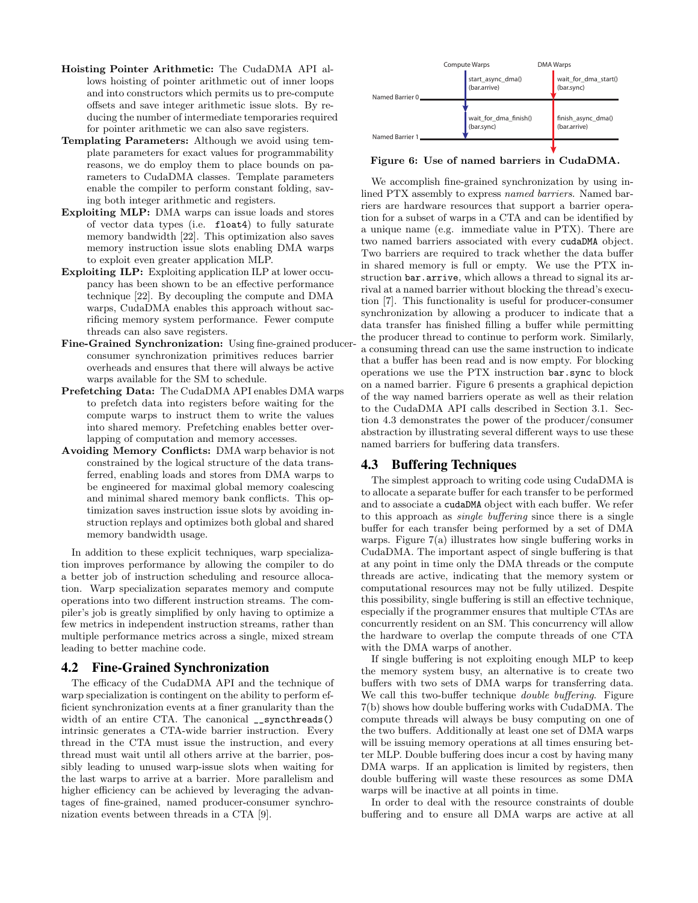- Hoisting Pointer Arithmetic: The CudaDMA API allows hoisting of pointer arithmetic out of inner loops and into constructors which permits us to pre-compute offsets and save integer arithmetic issue slots. By reducing the number of intermediate temporaries required for pointer arithmetic we can also save registers.
- Templating Parameters: Although we avoid using template parameters for exact values for programmability reasons, we do employ them to place bounds on parameters to CudaDMA classes. Template parameters enable the compiler to perform constant folding, saving both integer arithmetic and registers.
- Exploiting MLP: DMA warps can issue loads and stores of vector data types (i.e. float4) to fully saturate memory bandwidth [22]. This optimization also saves memory instruction issue slots enabling DMA warps to exploit even greater application MLP.
- Exploiting ILP: Exploiting application ILP at lower occupancy has been shown to be an effective performance technique [22]. By decoupling the compute and DMA warps, CudaDMA enables this approach without sacrificing memory system performance. Fewer compute threads can also save registers.
- Fine-Grained Synchronization: Using fine-grained producerconsumer synchronization primitives reduces barrier overheads and ensures that there will always be active warps available for the SM to schedule.
- Prefetching Data: The CudaDMA API enables DMA warps to prefetch data into registers before waiting for the compute warps to instruct them to write the values into shared memory. Prefetching enables better overlapping of computation and memory accesses.
- Avoiding Memory Conflicts: DMA warp behavior is not constrained by the logical structure of the data transferred, enabling loads and stores from DMA warps to be engineered for maximal global memory coalescing and minimal shared memory bank conflicts. This optimization saves instruction issue slots by avoiding instruction replays and optimizes both global and shared memory bandwidth usage.

In addition to these explicit techniques, warp specialization improves performance by allowing the compiler to do a better job of instruction scheduling and resource allocation. Warp specialization separates memory and compute operations into two different instruction streams. The compiler's job is greatly simplified by only having to optimize a few metrics in independent instruction streams, rather than multiple performance metrics across a single, mixed stream leading to better machine code.

### 4.2 Fine-Grained Synchronization

The efficacy of the CudaDMA API and the technique of warp specialization is contingent on the ability to perform efficient synchronization events at a finer granularity than the width of an entire CTA. The canonical \_\_syncthreads() intrinsic generates a CTA-wide barrier instruction. Every thread in the CTA must issue the instruction, and every thread must wait until all others arrive at the barrier, possibly leading to unused warp-issue slots when waiting for the last warps to arrive at a barrier. More parallelism and higher efficiency can be achieved by leveraging the advantages of fine-grained, named producer-consumer synchronization events between threads in a CTA [9].



Figure 6: Use of named barriers in CudaDMA.

We accomplish fine-grained synchronization by using inlined PTX assembly to express named barriers. Named barriers are hardware resources that support a barrier operation for a subset of warps in a CTA and can be identified by a unique name (e.g. immediate value in PTX). There are two named barriers associated with every cudaDMA object. Two barriers are required to track whether the data buffer in shared memory is full or empty. We use the PTX instruction bar.arrive, which allows a thread to signal its arrival at a named barrier without blocking the thread's execution [7]. This functionality is useful for producer-consumer synchronization by allowing a producer to indicate that a data transfer has finished filling a buffer while permitting the producer thread to continue to perform work. Similarly, a consuming thread can use the same instruction to indicate that a buffer has been read and is now empty. For blocking operations we use the PTX instruction bar.sync to block on a named barrier. Figure 6 presents a graphical depiction of the way named barriers operate as well as their relation to the CudaDMA API calls described in Section 3.1. Section 4.3 demonstrates the power of the producer/consumer abstraction by illustrating several different ways to use these named barriers for buffering data transfers.

### 4.3 Buffering Techniques

The simplest approach to writing code using CudaDMA is to allocate a separate buffer for each transfer to be performed and to associate a cudaDMA object with each buffer. We refer to this approach as single buffering since there is a single buffer for each transfer being performed by a set of DMA warps. Figure 7(a) illustrates how single buffering works in CudaDMA. The important aspect of single buffering is that at any point in time only the DMA threads or the compute threads are active, indicating that the memory system or computational resources may not be fully utilized. Despite this possibility, single buffering is still an effective technique, especially if the programmer ensures that multiple CTAs are concurrently resident on an SM. This concurrency will allow the hardware to overlap the compute threads of one CTA with the DMA warps of another.

If single buffering is not exploiting enough MLP to keep the memory system busy, an alternative is to create two buffers with two sets of DMA warps for transferring data. We call this two-buffer technique double buffering. Figure 7(b) shows how double buffering works with CudaDMA. The compute threads will always be busy computing on one of the two buffers. Additionally at least one set of DMA warps will be issuing memory operations at all times ensuring better MLP. Double buffering does incur a cost by having many DMA warps. If an application is limited by registers, then double buffering will waste these resources as some DMA warps will be inactive at all points in time.

In order to deal with the resource constraints of double buffering and to ensure all DMA warps are active at all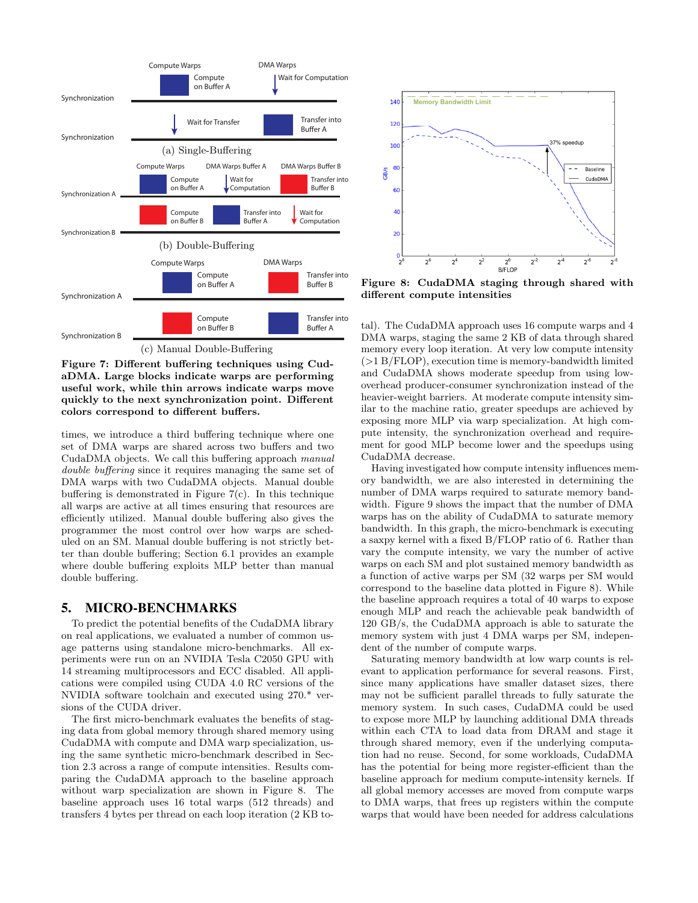

Figure 7: Different buffering techniques using CudaDMA. Large blocks indicate warps are performing useful work, while thin arrows indicate warps move quickly to the next synchronization point. Different colors correspond to different buffers.

times, we introduce a third buffering technique where one set of DMA warps are shared across two buffers and two CudaDMA objects. We call this buffering approach manual double buffering since it requires managing the same set of DMA warps with two CudaDMA objects. Manual double buffering is demonstrated in Figure  $7(c)$ . In this technique all warps are active at all times ensuring that resources are efficiently utilized. Manual double buffering also gives the programmer the most control over how warps are scheduled on an SM. Manual double buffering is not strictly better than double buffering; Section 6.1 provides an example where double buffering exploits MLP better than manual double buffering.

# 5. MICRO-BENCHMARKS

To predict the potential benefits of the CudaDMA library on real applications, we evaluated a number of common usage patterns using standalone micro-benchmarks. All experiments were run on an NVIDIA Tesla C2050 GPU with 14 streaming multiprocessors and ECC disabled. All applications were compiled using CUDA 4.0 RC versions of the NVIDIA software toolchain and executed using 270.\* versions of the CUDA driver.

The first micro-benchmark evaluates the benefits of staging data from global memory through shared memory using CudaDMA with compute and DMA warp specialization, using the same synthetic micro-benchmark described in Section 2.3 across a range of compute intensities. Results comparing the CudaDMA approach to the baseline approach without warp specialization are shown in Figure 8. The baseline approach uses 16 total warps (512 threads) and transfers 4 bytes per thread on each loop iteration (2 KB to-



Figure 8: CudaDMA staging through shared with different compute intensities

tal). The CudaDMA approach uses 16 compute warps and 4 DMA warps, staging the same 2 KB of data through shared memory every loop iteration. At very low compute intensity  $(>1 B/FLOP)$ , execution time is memory-bandwidth limited and CudaDMA shows moderate speedup from using lowoverhead producer-consumer synchronization instead of the heavier-weight barriers. At moderate compute intensity similar to the machine ratio, greater speedups are achieved by exposing more MLP via warp specialization. At high compute intensity, the synchronization overhead and requirement for good MLP become lower and the speedups using CudaDMA decrease.

Having investigated how compute intensity influences memory bandwidth, we are also interested in determining the number of DMA warps required to saturate memory bandwidth. Figure 9 shows the impact that the number of DMA warps has on the ability of CudaDMA to saturate memory bandwidth. In this graph, the micro-benchmark is executing a saxpy kernel with a fixed B/FLOP ratio of 6. Rather than vary the compute intensity, we vary the number of active warps on each SM and plot sustained memory bandwidth as a function of active warps per SM (32 warps per SM would correspond to the baseline data plotted in Figure 8). While the baseline approach requires a total of 40 warps to expose enough MLP and reach the achievable peak bandwidth of 120 GB/s, the CudaDMA approach is able to saturate the memory system with just 4 DMA warps per SM, independent of the number of compute warps.

Saturating memory bandwidth at low warp counts is relevant to application performance for several reasons. First, since many applications have smaller dataset sizes, there may not be sufficient parallel threads to fully saturate the memory system. In such cases, CudaDMA could be used to expose more MLP by launching additional DMA threads within each CTA to load data from DRAM and stage it through shared memory, even if the underlying computation had no reuse. Second, for some workloads, CudaDMA has the potential for being more register-efficient than the baseline approach for medium compute-intensity kernels. If all global memory accesses are moved from compute warps to DMA warps, that frees up registers within the compute warps that would have been needed for address calculations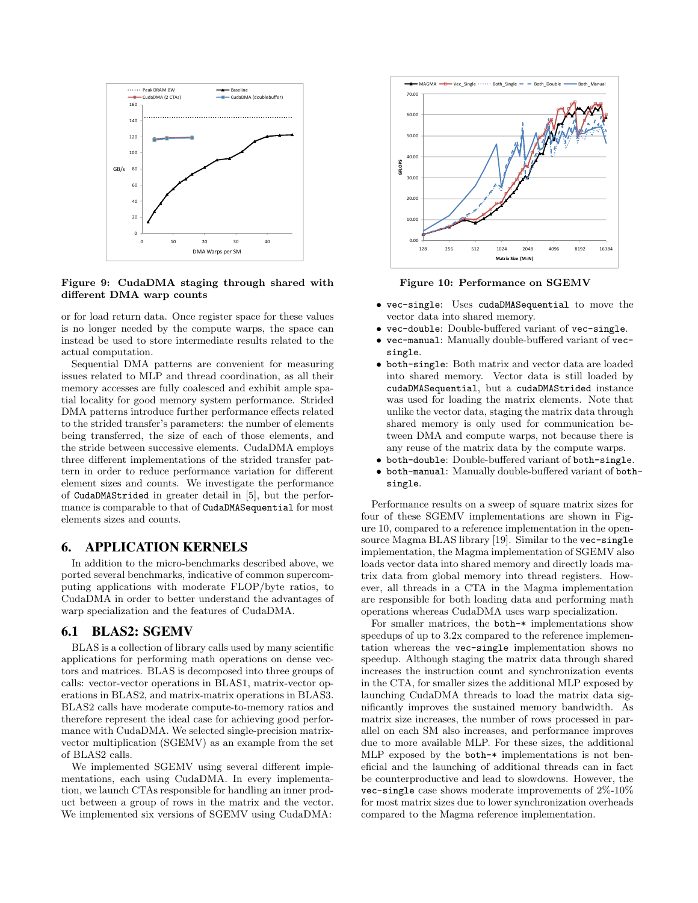

Figure 9: CudaDMA staging through shared with different DMA warp counts

or for load return data. Once register space for these values is no longer needed by the compute warps, the space can instead be used to store intermediate results related to the actual computation.

Sequential DMA patterns are convenient for measuring issues related to MLP and thread coordination, as all their memory accesses are fully coalesced and exhibit ample spatial locality for good memory system performance. Strided DMA patterns introduce further performance effects related to the strided transfer's parameters: the number of elements being transferred, the size of each of those elements, and the stride between successive elements. CudaDMA employs three different implementations of the strided transfer pattern in order to reduce performance variation for different element sizes and counts. We investigate the performance of CudaDMAStrided in greater detail in [5], but the performance is comparable to that of CudaDMASequential for most elements sizes and counts.

# 6. APPLICATION KERNELS

In addition to the micro-benchmarks described above, we ported several benchmarks, indicative of common supercomputing applications with moderate FLOP/byte ratios, to CudaDMA in order to better understand the advantages of warp specialization and the features of CudaDMA.

### 6.1 BLAS2: SGEMV

BLAS is a collection of library calls used by many scientific applications for performing math operations on dense vectors and matrices. BLAS is decomposed into three groups of calls: vector-vector operations in BLAS1, matrix-vector operations in BLAS2, and matrix-matrix operations in BLAS3. BLAS2 calls have moderate compute-to-memory ratios and therefore represent the ideal case for achieving good performance with CudaDMA. We selected single-precision matrixvector multiplication (SGEMV) as an example from the set of BLAS2 calls.

We implemented SGEMV using several different implementations, each using CudaDMA. In every implementation, we launch CTAs responsible for handling an inner product between a group of rows in the matrix and the vector. We implemented six versions of SGEMV using CudaDMA:



Figure 10: Performance on SGEMV

- vec-single: Uses cudaDMASequential to move the vector data into shared memory.
- vec-double: Double-buffered variant of vec-single.
- vec-manual: Manually double-buffered variant of vecsingle.
- both-single: Both matrix and vector data are loaded into shared memory. Vector data is still loaded by cudaDMASequential, but a cudaDMAStrided instance was used for loading the matrix elements. Note that unlike the vector data, staging the matrix data through shared memory is only used for communication between DMA and compute warps, not because there is any reuse of the matrix data by the compute warps.
- both-double: Double-buffered variant of both-single.
- both-manual: Manually double-buffered variant of bothsingle.

Performance results on a sweep of square matrix sizes for four of these SGEMV implementations are shown in Figure 10, compared to a reference implementation in the opensource Magma BLAS library [19]. Similar to the vec-single implementation, the Magma implementation of SGEMV also loads vector data into shared memory and directly loads matrix data from global memory into thread registers. However, all threads in a CTA in the Magma implementation are responsible for both loading data and performing math operations whereas CudaDMA uses warp specialization.

For smaller matrices, the both-\* implementations show speedups of up to 3.2x compared to the reference implementation whereas the vec-single implementation shows no speedup. Although staging the matrix data through shared increases the instruction count and synchronization events in the CTA, for smaller sizes the additional MLP exposed by launching CudaDMA threads to load the matrix data significantly improves the sustained memory bandwidth. As matrix size increases, the number of rows processed in parallel on each SM also increases, and performance improves due to more available MLP. For these sizes, the additional MLP exposed by the both-\* implementations is not beneficial and the launching of additional threads can in fact be counterproductive and lead to slowdowns. However, the vec-single case shows moderate improvements of 2%-10% for most matrix sizes due to lower synchronization overheads compared to the Magma reference implementation.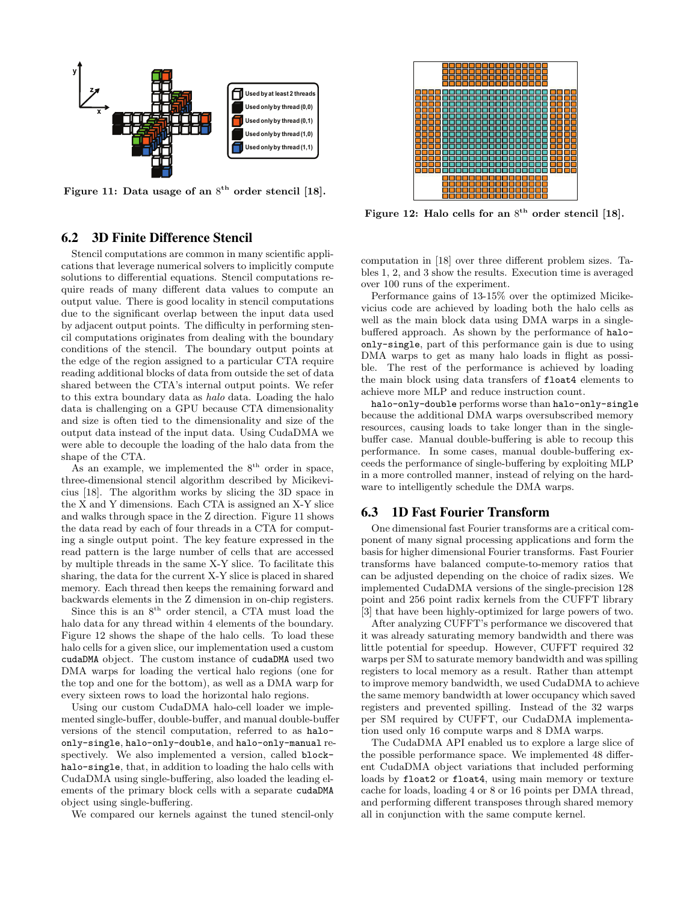

Figure 11: Data usage of an  $8^{\text{th}}$  order stencil [18].

# 6.2 3D Finite Difference Stencil

Stencil computations are common in many scientific applications that leverage numerical solvers to implicitly compute solutions to differential equations. Stencil computations require reads of many different data values to compute an output value. There is good locality in stencil computations due to the significant overlap between the input data used by adjacent output points. The difficulty in performing stencil computations originates from dealing with the boundary conditions of the stencil. The boundary output points at the edge of the region assigned to a particular CTA require reading additional blocks of data from outside the set of data shared between the CTA's internal output points. We refer to this extra boundary data as halo data. Loading the halo data is challenging on a GPU because CTA dimensionality and size is often tied to the dimensionality and size of the output data instead of the input data. Using CudaDMA we were able to decouple the loading of the halo data from the shape of the CTA.

As an example, we implemented the  $8<sup>th</sup>$  order in space, three-dimensional stencil algorithm described by Micikevicius [18]. The algorithm works by slicing the 3D space in the X and Y dimensions. Each CTA is assigned an X-Y slice and walks through space in the Z direction. Figure 11 shows the data read by each of four threads in a CTA for computing a single output point. The key feature expressed in the read pattern is the large number of cells that are accessed by multiple threads in the same X-Y slice. To facilitate this sharing, the data for the current X-Y slice is placed in shared memory. Each thread then keeps the remaining forward and backwards elements in the Z dimension in on-chip registers.

Since this is an  $8<sup>th</sup>$  order stencil, a CTA must load the halo data for any thread within 4 elements of the boundary. Figure 12 shows the shape of the halo cells. To load these halo cells for a given slice, our implementation used a custom cudaDMA object. The custom instance of cudaDMA used two DMA warps for loading the vertical halo regions (one for the top and one for the bottom), as well as a DMA warp for every sixteen rows to load the horizontal halo regions.

Using our custom CudaDMA halo-cell loader we implemented single-buffer, double-buffer, and manual double-buffer versions of the stencil computation, referred to as haloonly-single, halo-only-double, and halo-only-manual respectively. We also implemented a version, called blockhalo-single, that, in addition to loading the halo cells with CudaDMA using single-buffering, also loaded the leading elements of the primary block cells with a separate cudaDMA object using single-buffering.

We compared our kernels against the tuned stencil-only



Figure 12: Halo cells for an  $8<sup>th</sup>$  order stencil [18].

computation in [18] over three different problem sizes. Tables 1, 2, and 3 show the results. Execution time is averaged over 100 runs of the experiment.

Performance gains of 13-15% over the optimized Micikevicius code are achieved by loading both the halo cells as well as the main block data using DMA warps in a singlebuffered approach. As shown by the performance of haloonly-single, part of this performance gain is due to using DMA warps to get as many halo loads in flight as possible. The rest of the performance is achieved by loading the main block using data transfers of float4 elements to achieve more MLP and reduce instruction count.

halo-only-double performs worse than halo-only-single because the additional DMA warps oversubscribed memory resources, causing loads to take longer than in the singlebuffer case. Manual double-buffering is able to recoup this performance. In some cases, manual double-buffering exceeds the performance of single-buffering by exploiting MLP in a more controlled manner, instead of relying on the hardware to intelligently schedule the DMA warps.

# 6.3 1D Fast Fourier Transform

One dimensional fast Fourier transforms are a critical component of many signal processing applications and form the basis for higher dimensional Fourier transforms. Fast Fourier transforms have balanced compute-to-memory ratios that can be adjusted depending on the choice of radix sizes. We implemented CudaDMA versions of the single-precision 128 point and 256 point radix kernels from the CUFFT library [3] that have been highly-optimized for large powers of two.

After analyzing CUFFT's performance we discovered that it was already saturating memory bandwidth and there was little potential for speedup. However, CUFFT required 32 warps per SM to saturate memory bandwidth and was spilling registers to local memory as a result. Rather than attempt to improve memory bandwidth, we used CudaDMA to achieve the same memory bandwidth at lower occupancy which saved registers and prevented spilling. Instead of the 32 warps per SM required by CUFFT, our CudaDMA implementation used only 16 compute warps and 8 DMA warps.

The CudaDMA API enabled us to explore a large slice of the possible performance space. We implemented 48 different CudaDMA object variations that included performing loads by float2 or float4, using main memory or texture cache for loads, loading 4 or 8 or 16 points per DMA thread, and performing different transposes through shared memory all in conjunction with the same compute kernel.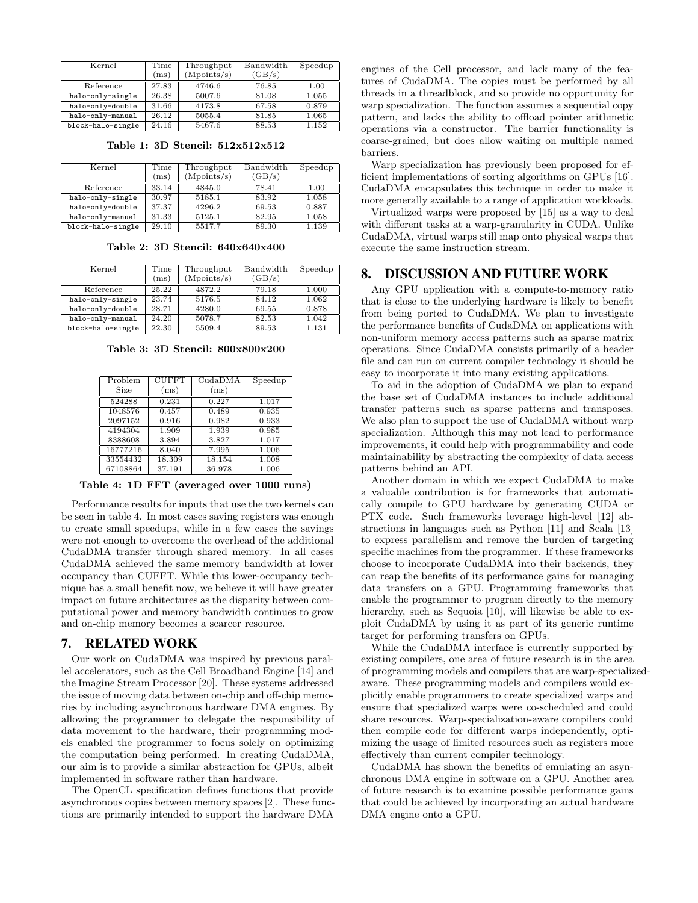| Kernel            | Time  | Bandwidth<br>Throughput |        | Speedup |
|-------------------|-------|-------------------------|--------|---------|
|                   | (ms)  | (Mpoints/s)             | (GB/s) |         |
| Reference         | 27.83 | 4746.6                  | 76.85  | 1.00    |
| halo-only-single  | 26.38 | 5007.6                  | 81.08  | 1.055   |
| halo-only-double  | 31.66 | 4173.8                  | 67.58  | 0.879   |
| halo-only-manual  | 26.12 | 5055.4                  | 81.85  | 1.065   |
| block-halo-single | 24.16 | 5467.6                  | 88.53  | 1.152   |

Table 1: 3D Stencil: 512x512x512

| Kernel            | Time  | Bandwidth<br>Throughput |        | Speedup |
|-------------------|-------|-------------------------|--------|---------|
|                   | (ms)  | (Mpoints/s)             | (GB/s) |         |
| Reference         | 33.14 | 4845.0                  | 78.41  | 1.00    |
| halo-only-single  | 30.97 | 5185.1                  | 83.92  | 1.058   |
| halo-only-double  | 37.37 | 4296.2                  | 69.53  | 0.887   |
| halo-only-manual  | 31.33 | 5125.1                  | 82.95  | 1.058   |
| block-halo-single | 29.10 | 5517.7                  | 89.30  | 1.139   |

Table 2: 3D Stencil: 640x640x400

| Kernel            | Time  | Bandwidth<br>Throughput |        | Speedup |
|-------------------|-------|-------------------------|--------|---------|
|                   | (ms)  | (Mpoints/s)             | (GB/s) |         |
| Reference         | 25.22 | 4872.2                  | 79.18  | 1.000   |
| halo-only-single  | 23.74 | 5176.5                  | 84.12  | 1.062   |
| halo-only-double  | 28.71 | 4280.0                  | 69.55  | 0.878   |
| halo-only-manual  | 24.20 | 5078.7                  | 82.53  | 1.042   |
| block-halo-single | 22.30 | 5509.4                  | 89.53  | 1.131   |

Table 3: 3D Stencil: 800x800x200

| Problem  | <b>CUFFT</b> | Cuda <sub>DMA</sub> | Speedup |
|----------|--------------|---------------------|---------|
| Size     | (ms)         | (ms)                |         |
| 524288   | 0.231        | 0.227               | 1.017   |
| 1048576  | 0.457        | 0.489               | 0.935   |
| 2097152  | 0.916        | 0.982               | 0.933   |
| 4194304  | 1.909        | 1.939               | 0.985   |
| 8388608  | 3.894        | 3.827               | 1.017   |
| 16777216 | 8.040        | 7.995               | 1.006   |
| 33554432 | 18.309       | 18.154              | 1.008   |
| 67108864 | 37.191       | 36.978              | 1.006   |

Table 4: 1D FFT (averaged over 1000 runs)

Performance results for inputs that use the two kernels can be seen in table 4. In most cases saving registers was enough to create small speedups, while in a few cases the savings were not enough to overcome the overhead of the additional CudaDMA transfer through shared memory. In all cases CudaDMA achieved the same memory bandwidth at lower occupancy than CUFFT. While this lower-occupancy technique has a small benefit now, we believe it will have greater impact on future architectures as the disparity between computational power and memory bandwidth continues to grow and on-chip memory becomes a scarcer resource.

#### 7. RELATED WORK

Our work on CudaDMA was inspired by previous parallel accelerators, such as the Cell Broadband Engine [14] and the Imagine Stream Processor [20]. These systems addressed the issue of moving data between on-chip and off-chip memories by including asynchronous hardware DMA engines. By allowing the programmer to delegate the responsibility of data movement to the hardware, their programming models enabled the programmer to focus solely on optimizing the computation being performed. In creating CudaDMA, our aim is to provide a similar abstraction for GPUs, albeit implemented in software rather than hardware.

The OpenCL specification defines functions that provide asynchronous copies between memory spaces [2]. These functions are primarily intended to support the hardware DMA

engines of the Cell processor, and lack many of the features of CudaDMA. The copies must be performed by all threads in a threadblock, and so provide no opportunity for warp specialization. The function assumes a sequential copy pattern, and lacks the ability to offload pointer arithmetic operations via a constructor. The barrier functionality is coarse-grained, but does allow waiting on multiple named barriers.

Warp specialization has previously been proposed for efficient implementations of sorting algorithms on GPUs [16]. CudaDMA encapsulates this technique in order to make it more generally available to a range of application workloads.

Virtualized warps were proposed by [15] as a way to deal with different tasks at a warp-granularity in CUDA. Unlike CudaDMA, virtual warps still map onto physical warps that execute the same instruction stream.

# 8. DISCUSSION AND FUTURE WORK

Any GPU application with a compute-to-memory ratio that is close to the underlying hardware is likely to benefit from being ported to CudaDMA. We plan to investigate the performance benefits of CudaDMA on applications with non-uniform memory access patterns such as sparse matrix operations. Since CudaDMA consists primarily of a header file and can run on current compiler technology it should be easy to incorporate it into many existing applications.

To aid in the adoption of CudaDMA we plan to expand the base set of CudaDMA instances to include additional transfer patterns such as sparse patterns and transposes. We also plan to support the use of CudaDMA without warp specialization. Although this may not lead to performance improvements, it could help with programmability and code maintainability by abstracting the complexity of data access patterns behind an API.

Another domain in which we expect CudaDMA to make a valuable contribution is for frameworks that automatically compile to GPU hardware by generating CUDA or PTX code. Such frameworks leverage high-level [12] abstractions in languages such as Python [11] and Scala [13] to express parallelism and remove the burden of targeting specific machines from the programmer. If these frameworks choose to incorporate CudaDMA into their backends, they can reap the benefits of its performance gains for managing data transfers on a GPU. Programming frameworks that enable the programmer to program directly to the memory hierarchy, such as Sequoia [10], will likewise be able to exploit CudaDMA by using it as part of its generic runtime target for performing transfers on GPUs.

While the CudaDMA interface is currently supported by existing compilers, one area of future research is in the area of programming models and compilers that are warp-specializedaware. These programming models and compilers would explicitly enable programmers to create specialized warps and ensure that specialized warps were co-scheduled and could share resources. Warp-specialization-aware compilers could then compile code for different warps independently, optimizing the usage of limited resources such as registers more effectively than current compiler technology.

CudaDMA has shown the benefits of emulating an asynchronous DMA engine in software on a GPU. Another area of future research is to examine possible performance gains that could be achieved by incorporating an actual hardware DMA engine onto a GPU.